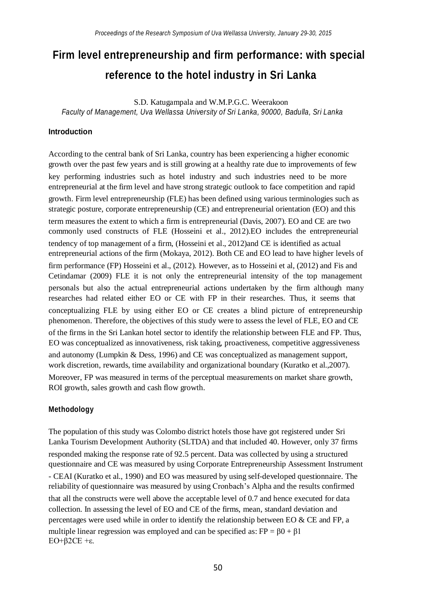# **Firm level entrepreneurship and firm performance: with special reference to the hotel industry in Sri Lanka**

S.D. Katugampala and W.M.P.G.C. Weerakoon *Faculty of Management, Uva Wellassa University of Sri Lanka, 90000, Badulla, Sri Lanka*

## **Introduction**

According to the central bank of Sri Lanka, country has been experiencing a higher economic growth over the past few years and is still growing at a healthy rate due to improvements of few key performing industries such as hotel industry and such industries need to be more entrepreneurial at the firm level and have strong strategic outlook to face competition and rapid growth. Firm level entrepreneurship (FLE) has been defined using various terminologies such as strategic posture, corporate entrepreneurship (CE) and entrepreneurial orientation (EO) and this term measures the extent to which a firm is entrepreneurial (Davis, 2007). EO and CE are two commonly used constructs of FLE (Hosseini et al., 2012).EO includes the entrepreneurial tendency of top management of a firm, (Hosseini et al., 2012)and CE is identified as actual entrepreneurial actions of the firm (Mokaya, 2012). Both CE and EO lead to have higher levels of firm performance (FP) Hosseini et al., (2012). However, as to Hosseini et al, (2012) and Fis and Cetindamar (2009) FLE it is not only the entrepreneurial intensity of the top management personals but also the actual entrepreneurial actions undertaken by the firm although many researches had related either EO or CE with FP in their researches. Thus, it seems that conceptualizing FLE by using either EO or CE creates a blind picture of entrepreneurship phenomenon. Therefore, the objectives of this study were to assess the level of FLE, EO and CE of the firms in the Sri Lankan hotel sector to identify the relationship between FLE and FP. Thus, EO was conceptualized as innovativeness, risk taking, proactiveness, competitive aggressiveness and autonomy (Lumpkin & Dess, 1996) and CE was conceptualized as management support, work discretion, rewards, time availability and organizational boundary (Kuratko et al.,2007).

Moreover, FP was measured in terms of the perceptual measurements on market share growth, ROI growth, sales growth and cash flow growth.

## **Methodology**

The population of this study was Colombo district hotels those have got registered under Sri Lanka Tourism Development Authority (SLTDA) and that included 40. However, only 37 firms responded making the response rate of 92.5 percent. Data was collected by using a structured questionnaire and CE was measured by using Corporate Entrepreneurship Assessment Instrument - CEAI (Kuratko et al., 1990) and EO was measured by using self-developed questionnaire. The reliability of questionnaire was measured by using Cronbach's Alpha and the results confirmed that all the constructs were well above the acceptable level of 0.7 and hence executed for data collection. In assessing the level of EO and CE of the firms, mean, standard deviation and percentages were used while in order to identify the relationship between EO & CE and FP, a multiple linear regression was employed and can be specified as:  $FP = \beta 0 + \beta 1$ EO+β2CE +ε.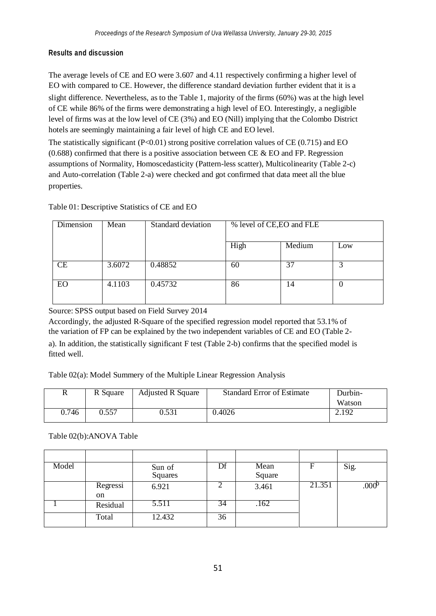# **Results and discussion**

The average levels of CE and EO were 3.607 and 4.11 respectively confirming a higher level of EO with compared to CE. However, the difference standard deviation further evident that it is a slight difference. Nevertheless, as to the Table 1, majority of the firms (60%) was at the high level of CE while 86% of the firms were demonstrating a high level of EO. Interestingly, a negligible level of firms was at the low level of CE (3%) and EO (Nill) implying that the Colombo District hotels are seemingly maintaining a fair level of high CE and EO level.

The statistically significant (P<0.01) strong positive correlation values of CE (0.715) and EO  $(0.688)$  confirmed that there is a positive association between CE & EO and FP. Regression assumptions of Normality, Homoscedasticity (Pattern-less scatter), Multicolinearity (Table 2-c) and Auto-correlation (Table 2-a) were checked and got confirmed that data meet all the blue properties.

## Table 01: Descriptive Statistics of CE and EO

| Dimension | Mean   | Standard deviation | % level of CE, EO and FLE |        |     |
|-----------|--------|--------------------|---------------------------|--------|-----|
|           |        |                    | High                      | Medium | Low |
| CE        | 3.6072 | 0.48852            | 60                        | 37     |     |
| EO        | 4.1103 | 0.45732            | 86                        | 14     |     |

Source: SPSS output based on Field Survey 2014

Accordingly, the adjusted R-Square of the specified regression model reported that 53.1% of the variation of FP can be explained by the two independent variables of CE and EO (Table 2 a). In addition, the statistically significant F test (Table 2-b) confirms that the specified model is fitted well.

# Table 02(a): Model Summery of the Multiple Linear Regression Analysis

| R     | R Square | <b>Adjusted R Square</b> | <b>Standard Error of Estimate</b> | Durbin- |
|-------|----------|--------------------------|-----------------------------------|---------|
|       |          |                          |                                   | Watson  |
| 0.746 | 0.557    | 0.531                    | 0.4026                            | 2.192   |

## Table 02(b):ANOVA Table

| Model |               | Sun of  | Df | Mean   | F      | Sig.              |
|-------|---------------|---------|----|--------|--------|-------------------|
|       |               | Squares |    | Square |        |                   |
|       | Regressi      | 6.921   |    | 3.461  | 21.351 | .000 <sup>p</sup> |
|       | <sub>on</sub> |         |    |        |        |                   |
|       | Residual      | 5.511   | 34 | .162   |        |                   |
|       | Total         | 12.432  | 36 |        |        |                   |